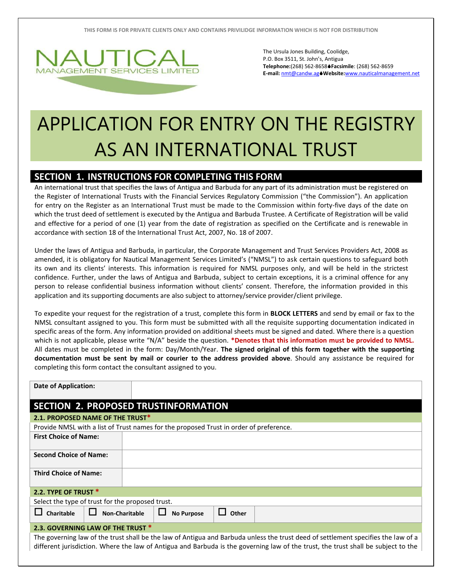

The Ursula Jones Building, Coolidge, P.O. Box 3511, St. John's, Antigua **Telephone:**(268) 562-8658**Facsimile**: (268) 562-8659 **E-mail:** [nmt@candw.ag](mailto:nmt@candw.ag)**Website:**www.nauticalmanagement.net

## APPLICATION FOR ENTRY ON THE REGISTRY AS AN INTERNATIONAL TRUST

## **SECTION 1. INSTRUCTIONS FOR COMPLETING THIS FORM**

An international trust that specifies the laws of Antigua and Barbuda for any part of its administration must be registered on the Register of International Trusts with the Financial Services Regulatory Commission ("the Commission"). An application for entry on the Register as an International Trust must be made to the Commission within forty-five days of the date on which the trust deed of settlement is executed by the Antigua and Barbuda Trustee. A Certificate of Registration will be valid and effective for a period of one (1) year from the date of registration as specified on the Certificate and is renewable in accordance with section 18 of the International Trust Act, 2007, No. 18 of 2007.

Under the laws of Antigua and Barbuda, in particular, the Corporate Management and Trust Services Providers Act, 2008 as amended, it is obligatory for Nautical Management Services Limited's ("NMSL") to ask certain questions to safeguard both its own and its clients' interests. This information is required for NMSL purposes only, and will be held in the strictest confidence. Further, under the laws of Antigua and Barbuda, subject to certain exceptions, it is a criminal offence for any person to release confidential business information without clients' consent. Therefore, the information provided in this application and its supporting documents are also subject to attorney/service provider/client privilege.

To expedite your request for the registration of a trust, complete this form in **BLOCK LETTERS** and send by email or fax to the NMSL consultant assigned to you. This form must be submitted with all the requisite supporting documentation indicated in specific areas of the form. Any information provided on additional sheets must be signed and dated. Where there is a question which is not applicable, please write "N/A" beside the question. **\*Denotes that this information must be provided to NMSL.**  All dates must be completed in the form: Day/Month/Year. **The signed original of this form together with the supporting documentation must be sent by mail or courier to the address provided above**. Should any assistance be required for completing this form contact the consultant assigned to you.

| <b>Date of Application:</b>                                                                                                                                                                                                                                            |                                  |                       |  |                   |                       |  |
|------------------------------------------------------------------------------------------------------------------------------------------------------------------------------------------------------------------------------------------------------------------------|----------------------------------|-----------------------|--|-------------------|-----------------------|--|
| <b>SECTION 2. PROPOSED TRUSTINFORMATION</b>                                                                                                                                                                                                                            |                                  |                       |  |                   |                       |  |
|                                                                                                                                                                                                                                                                        | 2.1. PROPOSED NAME OF THE TRUST* |                       |  |                   |                       |  |
| Provide NMSL with a list of Trust names for the proposed Trust in order of preference.                                                                                                                                                                                 |                                  |                       |  |                   |                       |  |
| <b>First Choice of Name:</b>                                                                                                                                                                                                                                           |                                  |                       |  |                   |                       |  |
| <b>Second Choice of Name:</b>                                                                                                                                                                                                                                          |                                  |                       |  |                   |                       |  |
| <b>Third Choice of Name:</b>                                                                                                                                                                                                                                           |                                  |                       |  |                   |                       |  |
| 2.2. TYPE OF TRUST *                                                                                                                                                                                                                                                   |                                  |                       |  |                   |                       |  |
| Select the type of trust for the proposed trust.                                                                                                                                                                                                                       |                                  |                       |  |                   |                       |  |
| <b>Charitable</b><br>ப                                                                                                                                                                                                                                                 |                                  | <b>Non-Charitable</b> |  | <b>No Purpose</b> | $\mathbf{L}$<br>Other |  |
| 2.3. GOVERNING LAW OF THE TRUST *                                                                                                                                                                                                                                      |                                  |                       |  |                   |                       |  |
| The governing law of the trust shall be the law of Antigua and Barbuda unless the trust deed of settlement specifies the law of a<br>different jurisdiction. Where the law of Antigua and Barbuda is the governing law of the trust, the trust shall be subject to the |                                  |                       |  |                   |                       |  |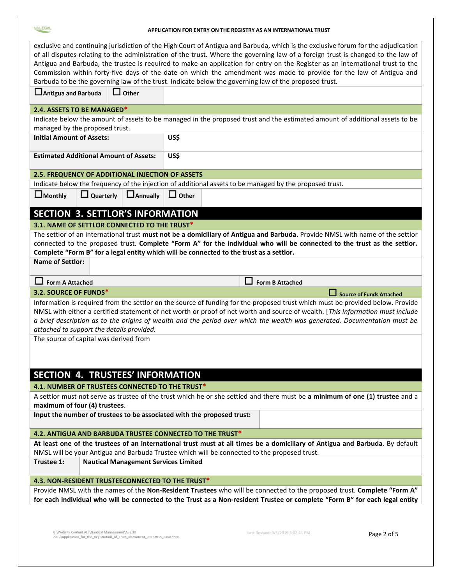| <b>NAUTICAL</b>                                                                                                                   |                                                         | APPLICATION FOR ENTRY ON THE REGISTRY AS AN INTERNATIONAL TRUST                                                                |  |  |  |  |
|-----------------------------------------------------------------------------------------------------------------------------------|---------------------------------------------------------|--------------------------------------------------------------------------------------------------------------------------------|--|--|--|--|
| exclusive and continuing jurisdiction of the High Court of Antigua and Barbuda, which is the exclusive forum for the adjudication |                                                         |                                                                                                                                |  |  |  |  |
| of all disputes relating to the administration of the trust. Where the governing law of a foreign trust is changed to the law of  |                                                         |                                                                                                                                |  |  |  |  |
|                                                                                                                                   |                                                         |                                                                                                                                |  |  |  |  |
|                                                                                                                                   |                                                         | Antigua and Barbuda, the trustee is required to make an application for entry on the Register as an international trust to the |  |  |  |  |
|                                                                                                                                   |                                                         | Commission within forty-five days of the date on which the amendment was made to provide for the law of Antigua and            |  |  |  |  |
|                                                                                                                                   |                                                         | Barbuda to be the governing law of the trust. Indicate below the governing law of the proposed trust.                          |  |  |  |  |
| Antigua and Barbuda                                                                                                               | Other                                                   |                                                                                                                                |  |  |  |  |
| 2.4. ASSETS TO BE MANAGED*                                                                                                        |                                                         |                                                                                                                                |  |  |  |  |
|                                                                                                                                   |                                                         | Indicate below the amount of assets to be managed in the proposed trust and the estimated amount of additional assets to be    |  |  |  |  |
| managed by the proposed trust.                                                                                                    |                                                         |                                                                                                                                |  |  |  |  |
| <b>Initial Amount of Assets:</b>                                                                                                  |                                                         | US\$                                                                                                                           |  |  |  |  |
|                                                                                                                                   |                                                         |                                                                                                                                |  |  |  |  |
|                                                                                                                                   |                                                         |                                                                                                                                |  |  |  |  |
|                                                                                                                                   | <b>Estimated Additional Amount of Assets:</b>           | US\$                                                                                                                           |  |  |  |  |
|                                                                                                                                   | <b>2.5. FREQUENCY OF ADDITIONAL INJECTION OF ASSETS</b> |                                                                                                                                |  |  |  |  |
|                                                                                                                                   |                                                         | Indicate below the frequency of the injection of additional assets to be managed by the proposed trust.                        |  |  |  |  |
|                                                                                                                                   |                                                         |                                                                                                                                |  |  |  |  |
| $\Box$ Monthly                                                                                                                    | $\Box$ Quarterly<br><b>LAnnually</b>                    | $\Box$ Other                                                                                                                   |  |  |  |  |
|                                                                                                                                   | <b>SECTION 3. SETTLOR'S INFORMATION</b>                 |                                                                                                                                |  |  |  |  |
|                                                                                                                                   |                                                         |                                                                                                                                |  |  |  |  |
|                                                                                                                                   | 3.1. NAME OF SETTLOR CONNECTED TO THE TRUST*            |                                                                                                                                |  |  |  |  |
|                                                                                                                                   |                                                         | The settlor of an international trust must not be a domiciliary of Antigua and Barbuda. Provide NMSL with name of the settlor  |  |  |  |  |
|                                                                                                                                   |                                                         | connected to the proposed trust. Complete "Form A" for the individual who will be connected to the trust as the settlor.       |  |  |  |  |
|                                                                                                                                   |                                                         | Complete "Form B" for a legal entity which will be connected to the trust as a settlor.                                        |  |  |  |  |
| <b>Name of Settlor:</b>                                                                                                           |                                                         |                                                                                                                                |  |  |  |  |
|                                                                                                                                   |                                                         |                                                                                                                                |  |  |  |  |
|                                                                                                                                   |                                                         |                                                                                                                                |  |  |  |  |
| <b>Form A Attached</b>                                                                                                            |                                                         | - 1<br><b>Form B Attached</b>                                                                                                  |  |  |  |  |
| 3.2. SOURCE OF FUNDS*                                                                                                             |                                                         | Source of Funds Attached                                                                                                       |  |  |  |  |
|                                                                                                                                   |                                                         | Information is required from the settlor on the source of funding for the proposed trust which must be provided below. Provide |  |  |  |  |
|                                                                                                                                   |                                                         | NMSL with either a certified statement of net worth or proof of net worth and source of wealth. [This information must include |  |  |  |  |
|                                                                                                                                   |                                                         | a brief description as to the origins of wealth and the period over which the wealth was generated. Documentation must be      |  |  |  |  |
|                                                                                                                                   | attached to support the details provided.               |                                                                                                                                |  |  |  |  |
|                                                                                                                                   | The source of capital was derived from                  |                                                                                                                                |  |  |  |  |
|                                                                                                                                   |                                                         |                                                                                                                                |  |  |  |  |
|                                                                                                                                   |                                                         |                                                                                                                                |  |  |  |  |
|                                                                                                                                   |                                                         |                                                                                                                                |  |  |  |  |
|                                                                                                                                   | SECTION 4. TRUSTEES' INFORMATION                        |                                                                                                                                |  |  |  |  |
|                                                                                                                                   | 4.1. NUMBER OF TRUSTEES CONNECTED TO THE TRUST*         |                                                                                                                                |  |  |  |  |
|                                                                                                                                   |                                                         | A settlor must not serve as trustee of the trust which he or she settled and there must be a minimum of one (1) trustee and a  |  |  |  |  |
| maximum of four (4) trustees.                                                                                                     |                                                         |                                                                                                                                |  |  |  |  |
|                                                                                                                                   |                                                         | Input the number of trustees to be associated with the proposed trust:                                                         |  |  |  |  |
|                                                                                                                                   |                                                         |                                                                                                                                |  |  |  |  |
|                                                                                                                                   |                                                         | 4.2. ANTIGUA AND BARBUDA TRUSTEE CONNECTED TO THE TRUST*                                                                       |  |  |  |  |
|                                                                                                                                   |                                                         | At least one of the trustees of an international trust must at all times be a domiciliary of Antigua and Barbuda. By default   |  |  |  |  |
| Trustee 1:                                                                                                                        |                                                         | NMSL will be your Antigua and Barbuda Trustee which will be connected to the proposed trust.                                   |  |  |  |  |
|                                                                                                                                   | <b>Nautical Management Services Limited</b>             |                                                                                                                                |  |  |  |  |
|                                                                                                                                   | 4.3. NON-RESIDENT TRUSTEECONNECTED TO THE TRUST*        |                                                                                                                                |  |  |  |  |
|                                                                                                                                   |                                                         | Provide NMSL with the names of the Non-Resident Trustees who will be connected to the proposed trust. Complete "Form A"        |  |  |  |  |
|                                                                                                                                   |                                                         | for each individual who will be connected to the Trust as a Non-resident Trustee or complete "Form B" for each legal entity    |  |  |  |  |
|                                                                                                                                   |                                                         |                                                                                                                                |  |  |  |  |
|                                                                                                                                   |                                                         |                                                                                                                                |  |  |  |  |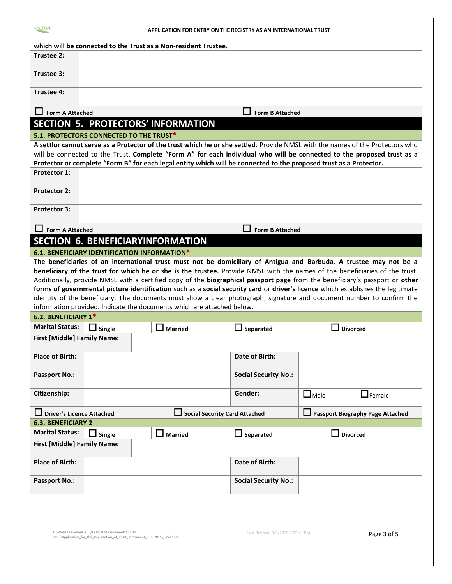## **APPLICATION FOR ENTRY ON THE REGISTRY AS AN INTERNATIONAL TRUST**

|                                                                                                |                                              |  | which will be connected to the Trust as a Non-resident Trustee.        |                                                                                                                                                                                                                                                            |             |                 |
|------------------------------------------------------------------------------------------------|----------------------------------------------|--|------------------------------------------------------------------------|------------------------------------------------------------------------------------------------------------------------------------------------------------------------------------------------------------------------------------------------------------|-------------|-----------------|
| Trustee 2:                                                                                     |                                              |  |                                                                        |                                                                                                                                                                                                                                                            |             |                 |
|                                                                                                |                                              |  |                                                                        |                                                                                                                                                                                                                                                            |             |                 |
| Trustee 3:                                                                                     |                                              |  |                                                                        |                                                                                                                                                                                                                                                            |             |                 |
| Trustee 4:                                                                                     |                                              |  |                                                                        |                                                                                                                                                                                                                                                            |             |                 |
| $\Box$ Form A Attached                                                                         |                                              |  |                                                                        | $\Box$ Form B Attached                                                                                                                                                                                                                                     |             |                 |
|                                                                                                |                                              |  | SECTION 5. PROTECTORS' INFORMATION                                     |                                                                                                                                                                                                                                                            |             |                 |
|                                                                                                | 5.1. PROTECTORS CONNECTED TO THE TRUST*      |  |                                                                        |                                                                                                                                                                                                                                                            |             |                 |
|                                                                                                |                                              |  |                                                                        | A settlor cannot serve as a Protector of the trust which he or she settled. Provide NMSL with the names of the Protectors who                                                                                                                              |             |                 |
|                                                                                                |                                              |  |                                                                        | will be connected to the Trust. Complete "Form A" for each individual who will be connected to the proposed trust as a                                                                                                                                     |             |                 |
|                                                                                                |                                              |  |                                                                        | Protector or complete "Form B" for each legal entity which will be connected to the proposed trust as a Protector.                                                                                                                                         |             |                 |
| <b>Protector 1:</b>                                                                            |                                              |  |                                                                        |                                                                                                                                                                                                                                                            |             |                 |
| <b>Protector 2:</b>                                                                            |                                              |  |                                                                        |                                                                                                                                                                                                                                                            |             |                 |
| <b>Protector 3:</b>                                                                            |                                              |  |                                                                        |                                                                                                                                                                                                                                                            |             |                 |
| <b>Form A Attached</b>                                                                         |                                              |  |                                                                        |                                                                                                                                                                                                                                                            |             |                 |
|                                                                                                | <b>SECTION 6. BENEFICIARYINFORMATION</b>     |  |                                                                        | <b>Form B Attached</b>                                                                                                                                                                                                                                     |             |                 |
|                                                                                                |                                              |  |                                                                        |                                                                                                                                                                                                                                                            |             |                 |
|                                                                                                | 6.1. BENEFICIARY IDENTIFICATION INFORMATION* |  |                                                                        |                                                                                                                                                                                                                                                            |             |                 |
|                                                                                                |                                              |  |                                                                        | The beneficiaries of an international trust must not be domiciliary of Antigua and Barbuda. A trustee may not be a                                                                                                                                         |             |                 |
|                                                                                                |                                              |  |                                                                        | beneficiary of the trust for which he or she is the trustee. Provide NMSL with the names of the beneficiaries of the trust.<br>Additionally, provide NMSL with a certified copy of the biographical passport page from the beneficiary's passport or other |             |                 |
|                                                                                                |                                              |  |                                                                        | forms of governmental picture identification such as a social security card or driver's licence which establishes the legitimate                                                                                                                           |             |                 |
|                                                                                                |                                              |  |                                                                        | identity of the beneficiary. The documents must show a clear photograph, signature and document number to confirm the                                                                                                                                      |             |                 |
|                                                                                                |                                              |  | information provided. Indicate the documents which are attached below. |                                                                                                                                                                                                                                                            |             |                 |
| 6.2. BENEFICIARY 1*                                                                            |                                              |  |                                                                        |                                                                                                                                                                                                                                                            |             |                 |
| <b>Marital Status:</b>                                                                         |                                              |  |                                                                        |                                                                                                                                                                                                                                                            |             |                 |
|                                                                                                | $\Box$ Single                                |  | <b>Married</b>                                                         | $\Box$ Separated                                                                                                                                                                                                                                           |             | <b>Divorced</b> |
| <b>First [Middle] Family Name:</b>                                                             |                                              |  |                                                                        |                                                                                                                                                                                                                                                            |             |                 |
| <b>Place of Birth:</b>                                                                         |                                              |  |                                                                        | Date of Birth:                                                                                                                                                                                                                                             |             |                 |
| <b>Passport No.:</b>                                                                           |                                              |  |                                                                        | <b>Social Security No.:</b>                                                                                                                                                                                                                                |             |                 |
| Citizenship:                                                                                   |                                              |  |                                                                        | Gender:                                                                                                                                                                                                                                                    | $\Box$ Male | $\Box$ Female   |
| <b>Driver's Licence Attached</b>                                                               |                                              |  |                                                                        |                                                                                                                                                                                                                                                            |             |                 |
| Social Security Card Attached<br>Passport Biography Page Attached<br><b>6.3. BENEFICIARY 2</b> |                                              |  |                                                                        |                                                                                                                                                                                                                                                            |             |                 |
| <b>Marital Status:</b>                                                                         |                                              |  |                                                                        |                                                                                                                                                                                                                                                            |             |                 |
| <b>First [Middle] Family Name:</b>                                                             | <b>Single</b>                                |  | <b>Married</b>                                                         | Separated                                                                                                                                                                                                                                                  |             | <b>Divorced</b> |
|                                                                                                |                                              |  |                                                                        |                                                                                                                                                                                                                                                            |             |                 |
| <b>Place of Birth:</b>                                                                         |                                              |  |                                                                        | Date of Birth:                                                                                                                                                                                                                                             |             |                 |
| <b>Passport No.:</b>                                                                           |                                              |  |                                                                        | <b>Social Security No.:</b>                                                                                                                                                                                                                                |             |                 |
|                                                                                                |                                              |  |                                                                        |                                                                                                                                                                                                                                                            |             |                 |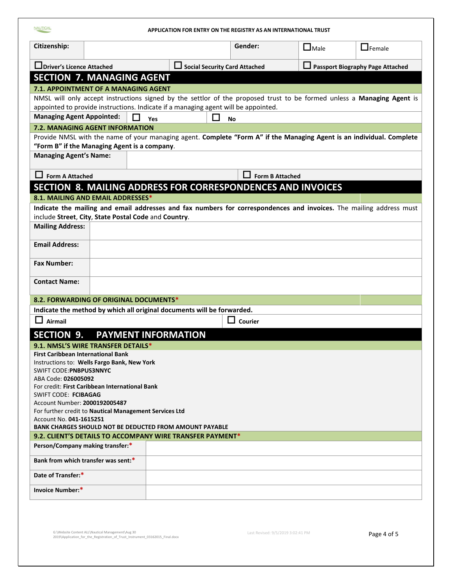| <b>NAUTICAL</b>                                                                           |                                                      | APPLICATION FOR ENTRY ON THE REGISTRY AS AN INTERNATIONAL TRUST                                                        |                                                                        |             |                                  |
|-------------------------------------------------------------------------------------------|------------------------------------------------------|------------------------------------------------------------------------------------------------------------------------|------------------------------------------------------------------------|-------------|----------------------------------|
| Citizenship:                                                                              |                                                      |                                                                                                                        | Gender:                                                                | $\Box$ Male | $\Box$ Female                    |
| Driver's Licence Attached                                                                 |                                                      |                                                                                                                        | <b>Social Security Card Attached</b>                                   |             | Passport Biography Page Attached |
|                                                                                           | <b>SECTION 7. MANAGING AGENT</b>                     |                                                                                                                        |                                                                        |             |                                  |
|                                                                                           | <b>7.1. APPOINTMENT OF A MANAGING AGENT</b>          |                                                                                                                        |                                                                        |             |                                  |
|                                                                                           |                                                      | NMSL will only accept instructions signed by the settlor of the proposed trust to be formed unless a Managing Agent is |                                                                        |             |                                  |
|                                                                                           |                                                      | appointed to provide instructions. Indicate if a managing agent will be appointed.                                     |                                                                        |             |                                  |
| <b>Managing Agent Appointed:</b>                                                          | $\mathcal{L}$                                        | J.<br>Yes                                                                                                              | <b>No</b>                                                              |             |                                  |
|                                                                                           | <b>7.2. MANAGING AGENT INFORMATION</b>               |                                                                                                                        |                                                                        |             |                                  |
|                                                                                           |                                                      | Provide NMSL with the name of your managing agent. Complete "Form A" if the Managing Agent is an individual. Complete  |                                                                        |             |                                  |
| <b>Managing Agent's Name:</b>                                                             | "Form B" if the Managing Agent is a company.         |                                                                                                                        |                                                                        |             |                                  |
|                                                                                           |                                                      |                                                                                                                        |                                                                        |             |                                  |
| $\Box$ Form A Attached                                                                    |                                                      |                                                                                                                        | $\mathsf{L}$<br><b>Form B Attached</b>                                 |             |                                  |
|                                                                                           |                                                      | SECTION 8. MAILING ADDRESS FOR CORRESPONDENCES AND INVOICES                                                            |                                                                        |             |                                  |
|                                                                                           | 8.1. MAILING AND EMAIL ADDRESSES*                    |                                                                                                                        |                                                                        |             |                                  |
|                                                                                           |                                                      | Indicate the mailing and email addresses and fax numbers for correspondences and invoices. The mailing address must    |                                                                        |             |                                  |
|                                                                                           | include Street, City, State Postal Code and Country. |                                                                                                                        |                                                                        |             |                                  |
| <b>Mailing Address:</b>                                                                   |                                                      |                                                                                                                        |                                                                        |             |                                  |
| <b>Email Address:</b>                                                                     |                                                      |                                                                                                                        |                                                                        |             |                                  |
| <b>Fax Number:</b>                                                                        |                                                      |                                                                                                                        |                                                                        |             |                                  |
| <b>Contact Name:</b>                                                                      |                                                      |                                                                                                                        |                                                                        |             |                                  |
|                                                                                           | 8.2. FORWARDING OF ORIGINAL DOCUMENTS*               |                                                                                                                        |                                                                        |             |                                  |
|                                                                                           |                                                      | Indicate the method by which all original documents will be forwarded.                                                 |                                                                        |             |                                  |
| Airmail                                                                                   |                                                      |                                                                                                                        | $\begin{array}{c} \begin{array}{c} \end{array} \end{array}$<br>Courier |             |                                  |
| <b>SECTION</b><br>9.                                                                      |                                                      | <b>PAYMENT INFORMATION</b>                                                                                             |                                                                        |             |                                  |
|                                                                                           | 9.1. NMSL'S WIRE TRANSFER DETAILS*                   |                                                                                                                        |                                                                        |             |                                  |
| <b>First Caribbean International Bank</b>                                                 |                                                      |                                                                                                                        |                                                                        |             |                                  |
| Instructions to: Wells Fargo Bank, New York                                               |                                                      |                                                                                                                        |                                                                        |             |                                  |
| <b>SWIFT CODE: PNBPUS3NNYC</b>                                                            |                                                      |                                                                                                                        |                                                                        |             |                                  |
| ABA Code: 026005092<br>For credit: First Caribbean International Bank                     |                                                      |                                                                                                                        |                                                                        |             |                                  |
| SWIFT CODE: FCIBAGAG                                                                      |                                                      |                                                                                                                        |                                                                        |             |                                  |
| Account Number: 2000192005487                                                             |                                                      |                                                                                                                        |                                                                        |             |                                  |
| For further credit to Nautical Management Services Ltd                                    |                                                      |                                                                                                                        |                                                                        |             |                                  |
| Account No. 041-1615251<br><b>BANK CHARGES SHOULD NOT BE DEDUCTED FROM AMOUNT PAYABLE</b> |                                                      |                                                                                                                        |                                                                        |             |                                  |
| 9.2. CLIENT'S DETAILS TO ACCOMPANY WIRE TRANSFER PAYMENT*                                 |                                                      |                                                                                                                        |                                                                        |             |                                  |
| Person/Company making transfer:*                                                          |                                                      |                                                                                                                        |                                                                        |             |                                  |
| Bank from which transfer was sent:*                                                       |                                                      |                                                                                                                        |                                                                        |             |                                  |
| Date of Transfer:*                                                                        |                                                      |                                                                                                                        |                                                                        |             |                                  |
| Invoice Number:*                                                                          |                                                      |                                                                                                                        |                                                                        |             |                                  |